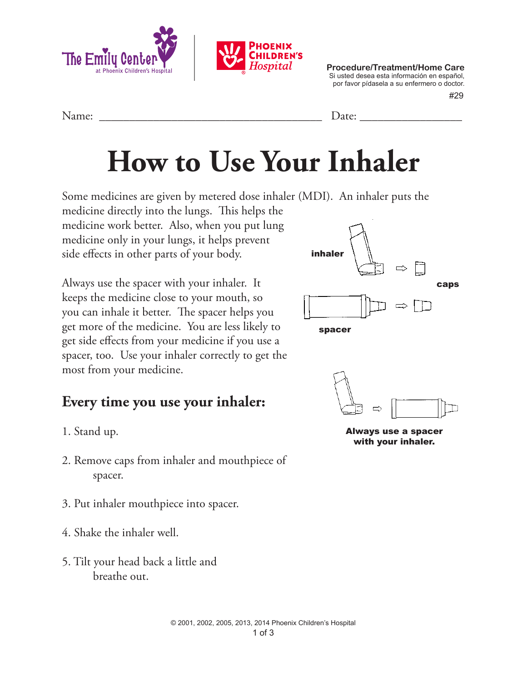

 #29 **Procedure/Treatment/Home Care** Si usted desea esta información en español, por favor pídasela a su enfermero o doctor.

| ът |  |
|----|--|
|    |  |

## **How to Use Your Inhaler**

Some medicines are given by metered dose inhaler (MDI). An inhaler puts the

medicine directly into the lungs. This helps the medicine work better. Also, when you put lung medicine only in your lungs, it helps prevent side effects in other parts of your body.

Always use the spacer with your inhaler. It keeps the medicine close to your mouth, so you can inhale it better. The spacer helps you get more of the medicine. You are less likely to get side effects from your medicine if you use a spacer, too. Use your inhaler correctly to get the most from your medicine.

## **Every time you use your inhaler:**

- 1. Stand up.
- 2. Remove caps from inhaler and mouthpiece of spacer.
- 3. Put inhaler mouthpiece into spacer.
- 4. Shake the inhaler well.
- 5. Tilt your head back a little and breathe out.







Always use a spacer with your inhaler.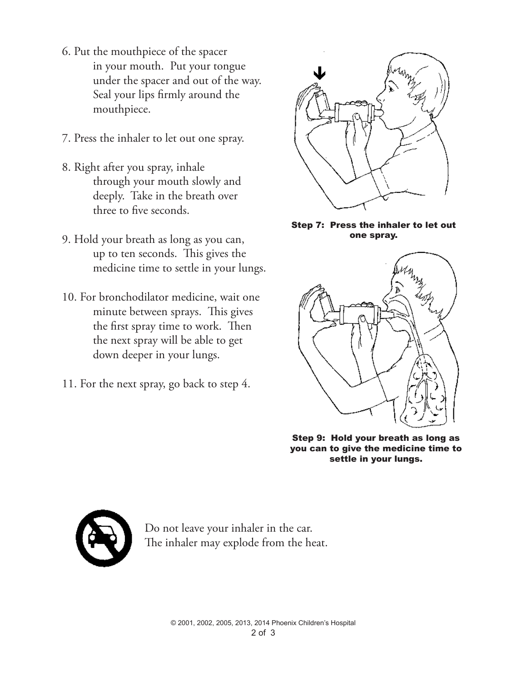- 6. Put the mouthpiece of the spacer in your mouth. Put your tongue under the spacer and out of the way. Seal your lips firmly around the mouthpiece.
- 7. Press the inhaler to let out one spray.
- 8. Right after you spray, inhale through your mouth slowly and deeply. Take in the breath over three to five seconds.
- 9. Hold your breath as long as you can, up to ten seconds. This gives the medicine time to settle in your lungs.
- 10. For bronchodilator medicine, wait one minute between sprays. This gives the first spray time to work. Then the next spray will be able to get down deeper in your lungs.
- 11. For the next spray, go back to step 4.



Step 7: Press the inhaler to let out one spray.



Step 9: Hold your breath as long as you can to give the medicine time to settle in your lungs.



Do not leave your inhaler in the car. The inhaler may explode from the heat.